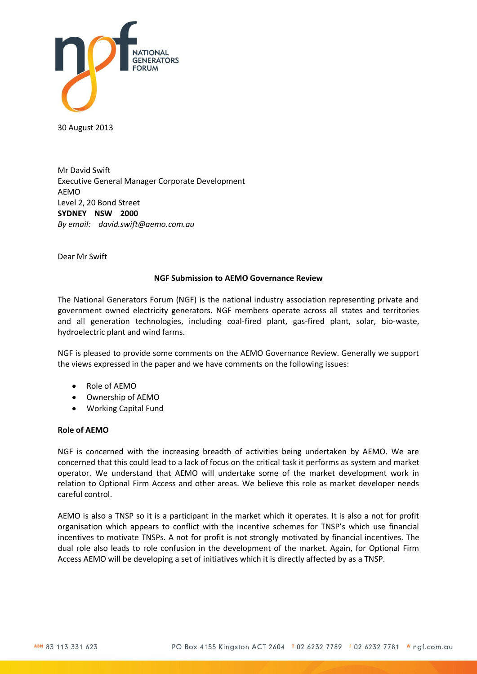

30 August 2013

Mr David Swift Executive General Manager Corporate Development AEMO Level 2, 20 Bond Street **SYDNEY NSW 2000** *By email: [david.swift@aemo.com.au](mailto:david.swift@aemo.com.au)*

Dear Mr Swift

# **NGF Submission to AEMO Governance Review**

The National Generators Forum (NGF) is the national industry association representing private and government owned electricity generators. NGF members operate across all states and territories and all generation technologies, including coal-fired plant, gas-fired plant, solar, bio-waste, hydroelectric plant and wind farms.

NGF is pleased to provide some comments on the AEMO Governance Review. Generally we support the views expressed in the paper and we have comments on the following issues:

- Role of AEMO
- Ownership of AEMO
- Working Capital Fund

# **Role of AEMO**

NGF is concerned with the increasing breadth of activities being undertaken by AEMO. We are concerned that this could lead to a lack of focus on the critical task it performs as system and market operator. We understand that AEMO will undertake some of the market development work in relation to Optional Firm Access and other areas. We believe this role as market developer needs careful control.

AEMO is also a TNSP so it is a participant in the market which it operates. It is also a not for profit organisation which appears to conflict with the incentive schemes for TNSP's which use financial incentives to motivate TNSPs. A not for profit is not strongly motivated by financial incentives. The dual role also leads to role confusion in the development of the market. Again, for Optional Firm Access AEMO will be developing a set of initiatives which it is directly affected by as a TNSP.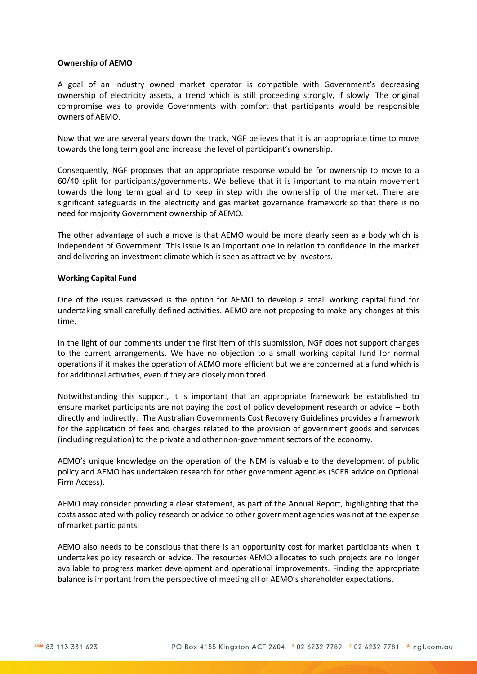### **Ownership of AEMO**

A goal of an industry owned market operator is compatible with Government's decreasing ownership of electricity assets, a trend which is still proceeding strongly, if slowly. The original compromise was to provide Governments with comfort that participants would be responsible owners of AEMO.

Now that we are several years down the track, NGF believes that it is an appropriate time to move towards the long term goal and increase the level of participant's ownership.

Consequently, NGF proposes that an appropriate response would be for ownership to move to a 60/40 split for participants/governments. We believe that it is important to maintain movement towards the long term goal and to keep in step with the ownership of the market. There are significant safeguards in the electricity and gas market governance framework so that there is no need for majority Government ownership of AEMO.

The other advantage of such a move is that AEMO would be more clearly seen as a body which is independent of Government. This issue is an important one in relation to confidence in the market and delivering an investment climate which is seen as attractive by investors.

### **Working Capital Fund**

One of the issues canvassed is the option for AEMO to develop a small working capital fund for undertaking small carefully defined activities. AEMO are not proposing to make any changes at this time.

In the light of our comments under the first item of this submission, NGF does not support changes to the current arrangements. We have no objection to a small working capital fund for normal operations if it makes the operation of AEMO more efficient but we are concerned at a fund which is for additional activities, even if they are closely monitored.

Notwithstanding this support, it is important that an appropriate framework be established to ensure market participants are not paying the cost of policy development research or advice – both directly and indirectly. The Australian Governments Cost Recovery Guidelines provides a framework for the application of fees and charges related to the provision of government goods and services (including regulation) to the private and other non-government sectors of the economy.

AEMO's unique knowledge on the operation of the NEM is valuable to the development of public policy and AEMO has undertaken research for other government agencies (SCER advice on Optional Firm Access).

AEMO may consider providing a clear statement, as part of the Annual Report, highlighting that the costs associated with policy research or advice to other government agencies was not at the expense of market participants.

AEMO also needs to be conscious that there is an opportunity cost for market participants when it undertakes policy research or advice. The resources AEMO allocates to such projects are no longer available to progress market development and operational improvements. Finding the appropriate balance is important from the perspective of meeting all of AEMO's shareholder expectations.